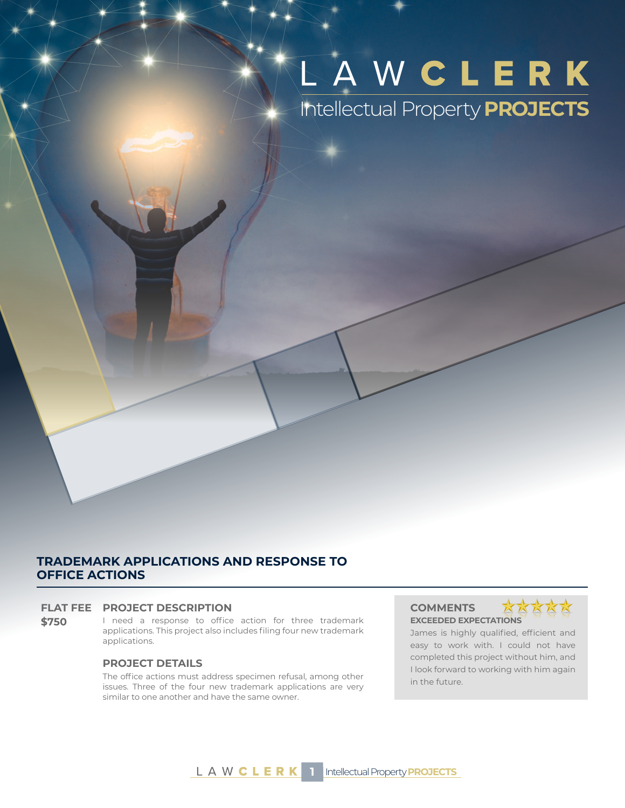# LAWCLERK Intellectual Property **PROJECTS**

# **TRADEMARK APPLICATIONS AND RESPONSE TO OFFICE ACTIONS**

# **FLAT FEE PROJECT DESCRIPTION COMMENTS**

**\$750** I need a response to office action for three trademark applications. This project also includes filing four new trademark applications.

# **PROJECT DETAILS**

The office actions must address specimen refusal, among other issues. Three of the four new trademark applications are very similar to one another and have the same owner.

**EXCEEDED EXPECTATIONS**



James is highly qualified, efficient and easy to work with. I could not have completed this project without him, and I look forward to working with him again in the future.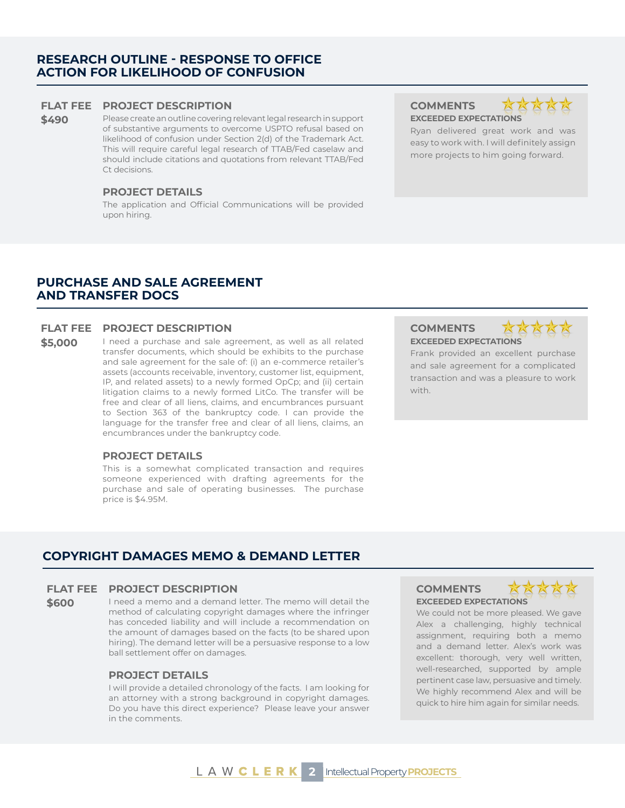# **RESEARCH OUTLINE - RESPONSE TO OFFICE ACTION FOR LIKELIHOOD OF CONFUSION**

### **FLAT FEE PROJECT DESCRIPTION COMMENTS**

**\$490** Please create an outline covering relevant legal research in support of substantive arguments to overcome USPTO refusal based on likelihood of confusion under Section 2(d) of the Trademark Act. This will require careful legal research of TTAB/Fed caselaw and should include citations and quotations from relevant TTAB/Fed Ct decisions.

# **PROJECT DETAILS**

The application and Official Communications will be provided upon hiring.

**EXCEEDED EXPECTATIONS**

Ryan delivered great work and was easy to work with. I will definitely assign more projects to him going forward.

# **PURCHASE AND SALE AGREEMENT AND TRANSFER DOCS**

# **FLAT FEE PROJECT DESCRIPTION COMMENTS**

\$5,000 I need a purchase and sale agreement, as well as all related transfer documents, which should be exhibits to the purchase and sale agreement for the sale of: (i) an e-commerce retailer's assets (accounts receivable, inventory, customer list, equipment, IP, and related assets) to a newly formed OpCp; and (ii) certain litigation claims to a newly formed LitCo. The transfer will be free and clear of all liens, claims, and encumbrances pursuant to Section 363 of the bankruptcy code. I can provide the language for the transfer free and clear of all liens, claims, an encumbrances under the bankruptcy code.

## **PROJECT DETAILS**

This is a somewhat complicated transaction and requires someone experienced with drafting agreements for the purchase and sale of operating businesses. The purchase price is \$4.95M.

**EXCEEDED EXPECTATIONS**



Frank provided an excellent purchase and sale agreement for a complicated transaction and was a pleasure to work with.

# **COPYRIGHT DAMAGES MEMO & DEMAND LETTER**

#### **FLAT FEE PROJECT DESCRIPTION COMMENTS**

**\$600** I need a memo and a demand letter. The memo will detail the method of calculating copyright damages where the infringer has conceded liability and will include a recommendation on the amount of damages based on the facts (to be shared upon hiring). The demand letter will be a persuasive response to a low ball settlement offer on damages.

# **PROJECT DETAILS**

I will provide a detailed chronology of the facts. I am looking for an attorney with a strong background in copyright damages. Do you have this direct experience? Please leave your answer in the comments.

# **EXCEEDED EXPECTATIONS**



We could not be more pleased. We gave Alex a challenging, highly technical assignment, requiring both a memo and a demand letter. Alex's work was excellent: thorough, very well written, well-researched, supported by ample pertinent case law, persuasive and timely. We highly recommend Alex and will be quick to hire him again for similar needs.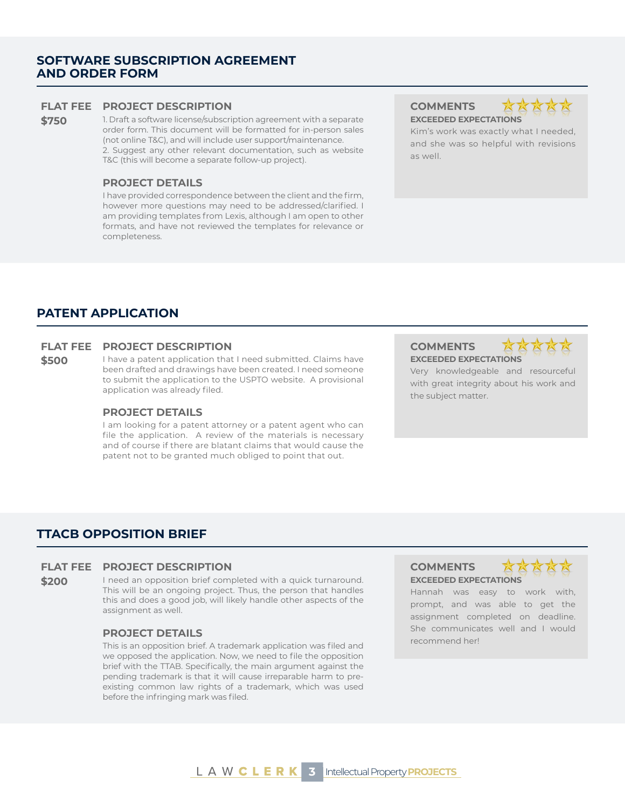# **SOFTWARE SUBSCRIPTION AGREEMENT AND ORDER FORM**

# **FLAT FEE PROJECT DESCRIPTION COMMENTS**

**\$750** 1. Draft a software license/subscription agreement with a separate order form. This document will be formatted for in-person sales (not online T&C), and will include user support/maintenance. 2. Suggest any other relevant documentation, such as website T&C (this will become a separate follow-up project).

#### **PROJECT DETAILS**

I have provided correspondence between the client and the firm, however more questions may need to be addressed/clarified. I am providing templates from Lexis, although I am open to other formats, and have not reviewed the templates for relevance or completeness.

**EXCEEDED EXPECTATIONS**



Kim's work was exactly what I needed, and she was so helpful with revisions as well.

# **PATENT APPLICATION**

# **FLAT FEE PROJECT DESCRIPTION COMMENTS**

**\$500** I have a patent application that I need submitted. Claims have been drafted and drawings have been created. I need someone to submit the application to the USPTO website. A provisional application was already filed.

#### **PROJECT DETAILS**

I am looking for a patent attorney or a patent agent who can file the application. A review of the materials is necessary and of course if there are blatant claims that would cause the patent not to be granted much obliged to point that out.

**EXCEEDED EXPECTATIONS**



Very knowledgeable and resourceful with great integrity about his work and the subject matter.

# **TTACB OPPOSITION BRIEF**

### **FLAT FEE PROJECT DESCRIPTION COMMENTS**

**\$200** I need an opposition brief completed with a quick turnaround. This will be an ongoing project. Thus, the person that handles this and does a good job, will likely handle other aspects of the assignment as well.

### **PROJECT DETAILS**

This is an opposition brief. A trademark application was filed and we opposed the application. Now, we need to file the opposition brief with the TTAB. Specifically, the main argument against the pending trademark is that it will cause irreparable harm to preexisting common law rights of a trademark, which was used before the infringing mark was filed.

# **EXCEEDED EXPECTATIONS**



Hannah was easy to work with, prompt, and was able to get the assignment completed on deadline. She communicates well and I would recommend her!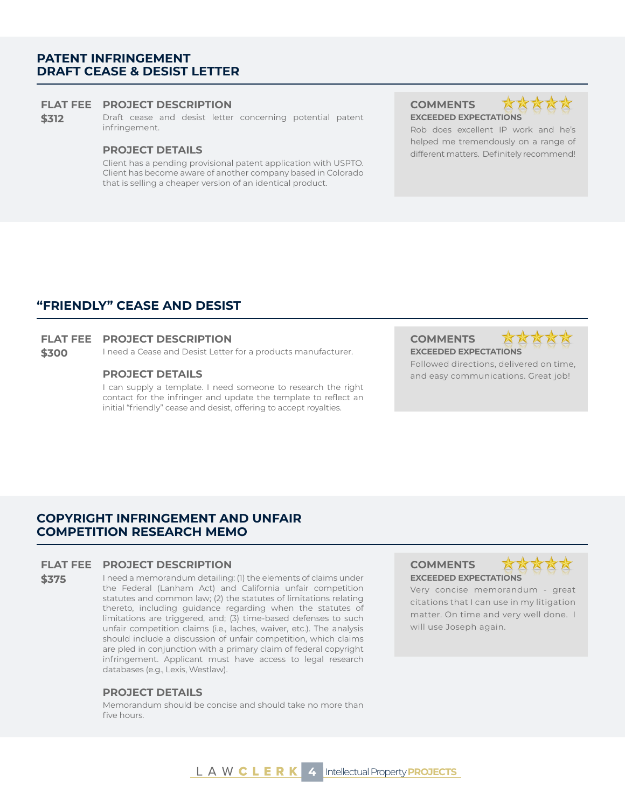# **PATENT INFRINGEMENT DRAFT CEASE & DESIST LETTER**

### **FLAT FEE PROJECT DESCRIPTION COMMENTS**

**\$312** Draft cease and desist letter concerning potential patent infringement.

Client has a pending provisional patent application with USPTO. Client has become aware of another company based in Colorado that is selling a cheaper version of an identical product.

**EXCEEDED EXPECTATIONS**



Rob does excellent IP work and he's helped me tremendously on a range of **PROJECT DETAILS** different matters. Definitely recommend!

# **"FRIENDLY" CEASE AND DESIST**

#### **FLAT FEE PROJECT DESCRIPTION COMMENTS**

**\$300** I need a Cease and Desist Letter for a products manufacturer. **EXCEEDED EXPECTATIONS** 

I can supply a template. I need someone to research the right contact for the infringer and update the template to reflect an initial "friendly" cease and desist, offering to accept royalties.





Followed directions, delivered on time, **PROJECT DETAILS All and easy communications. Great job!** 

# **COPYRIGHT INFRINGEMENT AND UNFAIR COMPETITION RESEARCH MEMO**

### **FLAT FEE PROJECT DESCRIPTION COMMENTS**

**\$375** I need a memorandum detailing: (1) the elements of claims under the Federal (Lanham Act) and California unfair competition statutes and common law; (2) the statutes of limitations relating thereto, including guidance regarding when the statutes of limitations are triggered, and; (3) time-based defenses to such unfair competition claims (i.e., laches, waiver, etc.). The analysis should include a discussion of unfair competition, which claims are pled in conjunction with a primary claim of federal copyright infringement. Applicant must have access to legal research databases (e.g., Lexis, Westlaw).

### **PROJECT DETAILS**

Memorandum should be concise and should take no more than five hours.

# **EXCEEDED EXPECTATIONS**



Very concise memorandum - great citations that I can use in my litigation matter. On time and very well done. I will use Joseph again.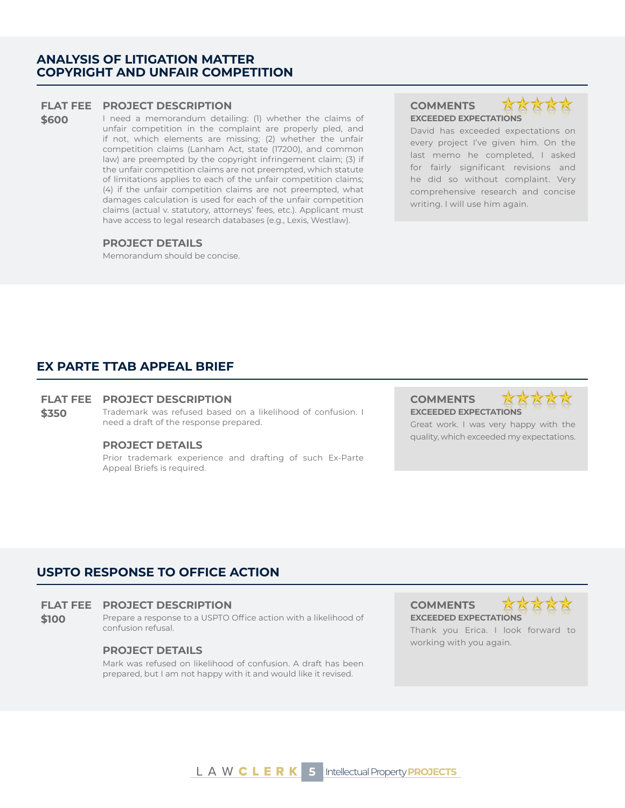# **ANALYSIS OF LITIGATION MATTER COPYRIGHT AND UNFAIR COMPETITION**

### **FLAT FEE PROJECT DESCRIPTION COMMENTS**

**\$600** I need a memorandum detailing: (1) whether the claims of unfair competition in the complaint are properly pled, and if not, which elements are missing; (2) whether the unfair competition claims (Lanham Act, state (17200), and common law) are preempted by the copyright infringement claim; (3) if the unfair competition claims are not preempted, which statute of limitations applies to each of the unfair competition claims; (4) if the unfair competition claims are not preempted, what damages calculation is used for each of the unfair competition claims (actual v. statutory, attorneys' fees, etc.). Applicant must have access to legal research databases (e.g., Lexis, Westlaw).

# **PROJECT DETAILS**

Memorandum should be concise.

# XX **EXCEEDED EXPECTATIONS**

David has exceeded expectations on every project I've given him. On the last memo he completed, I asked for fairly significant revisions and he did so without complaint. Very comprehensive research and concise writing. I will use him again.

# **EX PARTE TTAB APPEAL BRIEF**

# **FLAT FEE PROJECT DESCRIPTION COMMENTS**

**\$350** Trademark was refused based on a likelihood of confusion. I need a draft of the response prepared.

#### **PROJECT DETAILS**

Prior trademark experience and drafting of such Ex-Parte Appeal Briefs is required.

# **EXCEEDED EXPECTATIONS**

XXXXX

Great work. I was very happy with the quality, which exceeded my expectations.

# **USPTO RESPONSE TO OFFICE ACTION**

#### **FLAT FEE PROJECT DESCRIPTION COMMENTS**

**\$100** Prepare a response to a USPTO Office action with a likelihood of confusion refusal.

# **PROJECT DETAILS**

Mark was refused on likelihood of confusion. A draft has been prepared, but I am not happy with it and would like it revised.

**EXCEEDED EXPECTATIONS** Thank you Erica. I look forward to working with you again.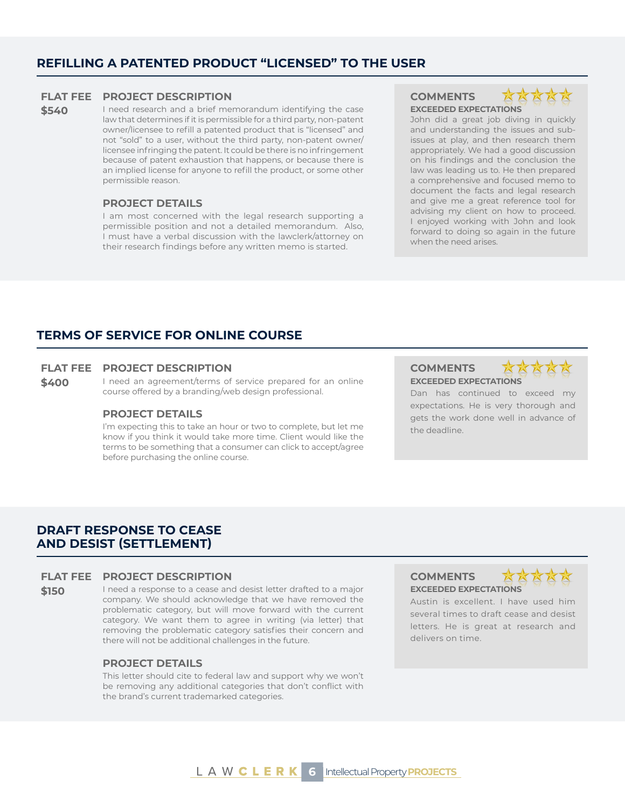# **REFILLING A PATENTED PRODUCT "LICENSED" TO THE USER**

# **FLAT FEE PROJECT DESCRIPTION COMMENTS**

**\$540** I need research and a brief memorandum identifying the case law that determines if it is permissible for a third party, non-patent owner/licensee to refill a patented product that is "licensed" and not "sold" to a user, without the third party, non-patent owner/ licensee infringing the patent. It could be there is no infringement because of patent exhaustion that happens, or because there is an implied license for anyone to refill the product, or some other permissible reason.

# **PROJECT DETAILS**

I am most concerned with the legal research supporting a permissible position and not a detailed memorandum. Also, I must have a verbal discussion with the lawclerk/attorney on their research findings before any written memo is started.

**EXCEEDED EXPECTATIONS**



John did a great job diving in quickly and understanding the issues and subissues at play, and then research them appropriately. We had a good discussion on his findings and the conclusion the law was leading us to. He then prepared a comprehensive and focused memo to document the facts and legal research and give me a great reference tool for advising my client on how to proceed. I enjoyed working with John and look forward to doing so again in the future when the need arises.

# **TERMS OF SERVICE FOR ONLINE COURSE**

# **FLAT FEE PROJECT DESCRIPTION COMMENTS**

**\$400** I need an agreement/terms of service prepared for an online course offered by a branding/web design professional.

#### **PROJECT DETAILS**

I'm expecting this to take an hour or two to complete, but let me know if you think it would take more time. Client would like the terms to be something that a consumer can click to accept/agree before purchasing the online course.

# **EXCEEDED EXPECTATIONS**



Dan has continued to exceed my expectations. He is very thorough and gets the work done well in advance of the deadline.

# **DRAFT RESPONSE TO CEASE AND DESIST (SETTLEMENT)**

#### **FLAT FEE PROJECT DESCRIPTION COMMENTS**

**\$150** I need a response to a cease and desist letter drafted to a major company. We should acknowledge that we have removed the problematic category, but will move forward with the current category. We want them to agree in writing (via letter) that removing the problematic category satisfies their concern and there will not be additional challenges in the future.

#### **PROJECT DETAILS**

This letter should cite to federal law and support why we won't be removing any additional categories that don't conflict with the brand's current trademarked categories.

**EXCEEDED EXPECTATIONS**



Austin is excellent. I have used him several times to draft cease and desist letters. He is great at research and delivers on time.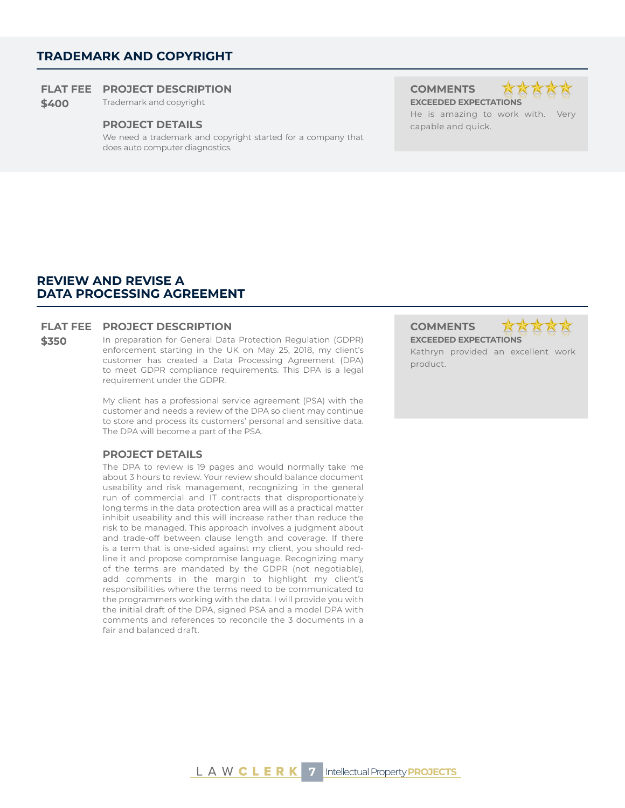# **TRADEMARK AND COPYRIGHT**

# **FLAT FEE PROJECT DESCRIPTION COMMENTS**

**\$400** Trademark and copyright **EXCEEDED EXPECTATIONS** 

#### **PROJECT DETAILS Capable and quick.**

We need a trademark and copyright started for a company that does auto computer diagnostics.





He is amazing to work with. Very

# **REVIEW AND REVISE A DATA PROCESSING AGREEMENT**

# **FLAT FEE PROJECT DESCRIPTION COMMENTS**

**\$350** In preparation for General Data Protection Regulation (GDPR) enforcement starting in the UK on May 25, 2018, my client's customer has created a Data Processing Agreement (DPA) to meet GDPR compliance requirements. This DPA is a legal requirement under the GDPR.

> My client has a professional service agreement (PSA) with the customer and needs a review of the DPA so client may continue to store and process its customers' personal and sensitive data. The DPA will become a part of the PSA.

## **PROJECT DETAILS**

The DPA to review is 19 pages and would normally take me about 3 hours to review. Your review should balance document useability and risk management, recognizing in the general run of commercial and IT contracts that disproportionately long terms in the data protection area will as a practical matter inhibit useability and this will increase rather than reduce the risk to be managed. This approach involves a judgment about and trade-off between clause length and coverage. If there is a term that is one-sided against my client, you should redline it and propose compromise language. Recognizing many of the terms are mandated by the GDPR (not negotiable), add comments in the margin to highlight my client's responsibilities where the terms need to be communicated to the programmers working with the data. I will provide you with the initial draft of the DPA, signed PSA and a model DPA with comments and references to reconcile the 3 documents in a fair and balanced draft.

**EXCEEDED EXPECTATIONS**



Kathryn provided an excellent work product.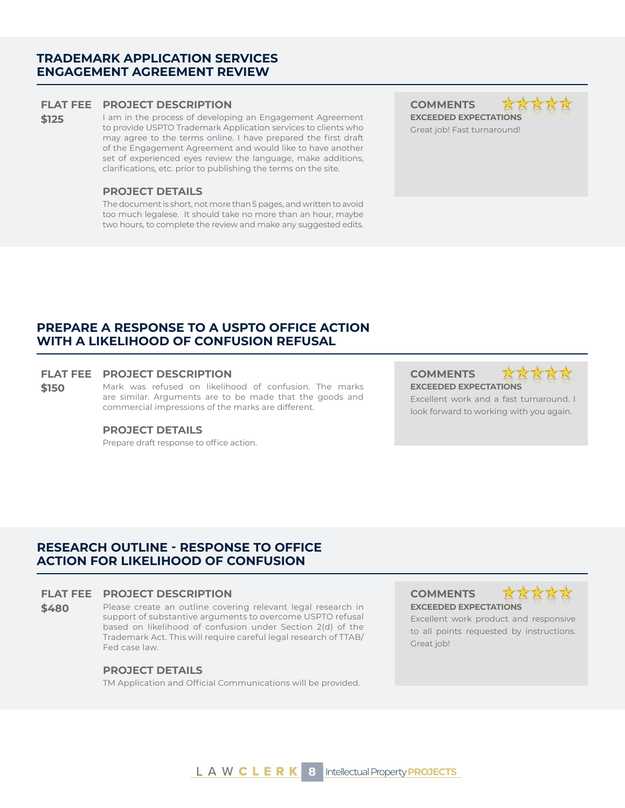# **TRADEMARK APPLICATION SERVICES ENGAGEMENT AGREEMENT REVIEW**

#### **FLAT FEE PROJECT DESCRIPTION COMMENTS**

**\$125** I am in the process of developing an Engagement Agreement to provide USPTO Trademark Application services to clients who may agree to the terms online. I have prepared the first draft of the Engagement Agreement and would like to have another set of experienced eyes review the language, make additions, clarifications, etc. prior to publishing the terms on the site.

# **PROJECT DETAILS**

The document is short, not more than 5 pages, and written to avoid too much legalese. It should take no more than an hour, maybe two hours, to complete the review and make any suggested edits.

**EXCEEDED EXPECTATIONS**



Great job! Fast turnaround!

# **PREPARE A RESPONSE TO A USPTO OFFICE ACTION WITH A LIKELIHOOD OF CONFUSION REFUSAL**

### **FLAT FEE PROJECT DESCRIPTION COMMENTS**

**\$150** Mark was refused on likelihood of confusion. The marks are similar. Arguments are to be made that the goods and commercial impressions of the marks are different.

#### **PROJECT DETAILS**

Prepare draft response to office action.

**EXCEEDED EXPECTATIONS**



Excellent work and a fast turnaround. I look forward to working with you again.

# **RESEARCH OUTLINE - RESPONSE TO OFFICE ACTION FOR LIKELIHOOD OF CONFUSION**

# **FLAT FEE PROJECT DESCRIPTION COMMENTS**

**\$480** Please create an outline covering relevant legal research in support of substantive arguments to overcome USPTO refusal based on likelihood of confusion under Section 2(d) of the Trademark Act. This will require careful legal research of TTAB/ Fed case law.

#### **PROJECT DETAILS**

TM Application and Official Communications will be provided.

**EXCEEDED EXPECTATIONS**



Excellent work product and responsive to all points requested by instructions. Great job!